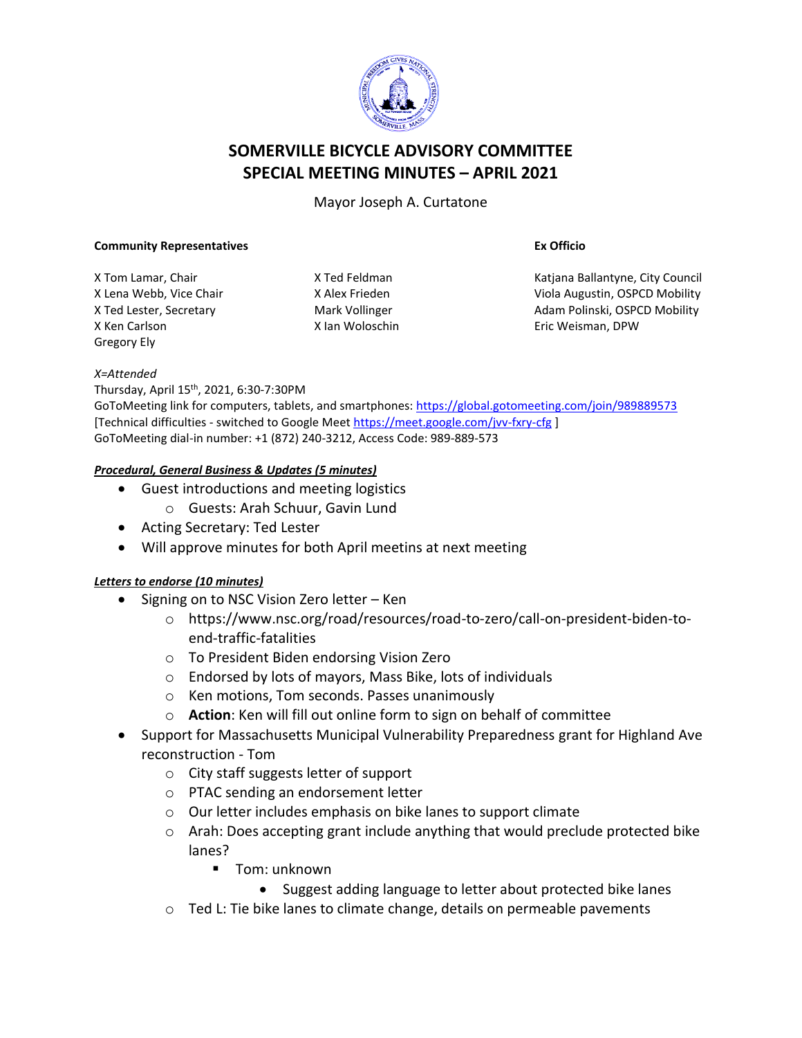

# **SOMERVILLE BICYCLE ADVISORY COMMITTEE SPECIAL MEETING MINUTES – APRIL 2021**

Mayor Joseph A. Curtatone

#### **Community Representatives**

X Tom Lamar, Chair X Lena Webb, Vice Chair X Ted Lester, Secretary X Ken Carlson Gregory Ely

X Ted Feldman X Alex Frieden Mark Vollinger X Ian Woloschin **Ex Officio**

Katjana Ballantyne, City Council Viola Augustin, OSPCD Mobility Adam Polinski, OSPCD Mobility Eric Weisman, DPW

#### *X=Attended*

Thursday, April 15th , 2021, 6:30-7:30PM

GoToMeeting link for computers, tablets, and smartphones:<https://global.gotomeeting.com/join/989889573> [Technical difficulties - switched to Google Meet<https://meet.google.com/jvv-fxry-cfg> ] GoToMeeting dial-in number: +1 (872) 240-3212, Access Code: 989-889-573

#### *Procedural, General Business & Updates (5 minutes)*

- Guest introductions and meeting logistics
	- o Guests: Arah Schuur, Gavin Lund
- Acting Secretary: Ted Lester
- Will approve minutes for both April meetins at next meeting

### *Letters to endorse (10 minutes)*

- Signing on to NSC Vision Zero letter Ken
	- o https://www.nsc.org/road/resources/road-to-zero/call-on-president-biden-toend-traffic-fatalities
	- o To President Biden endorsing Vision Zero
	- o Endorsed by lots of mayors, Mass Bike, lots of individuals
	- o Ken motions, Tom seconds. Passes unanimously
	- o **Action**: Ken will fill out online form to sign on behalf of committee
- Support for Massachusetts Municipal Vulnerability Preparedness grant for Highland Ave reconstruction - Tom
	- o City staff suggests letter of support
	- o PTAC sending an endorsement letter
	- o Our letter includes emphasis on bike lanes to support climate
	- o Arah: Does accepting grant include anything that would preclude protected bike lanes?
		- Tom: unknown
			- Suggest adding language to letter about protected bike lanes
	- o Ted L: Tie bike lanes to climate change, details on permeable pavements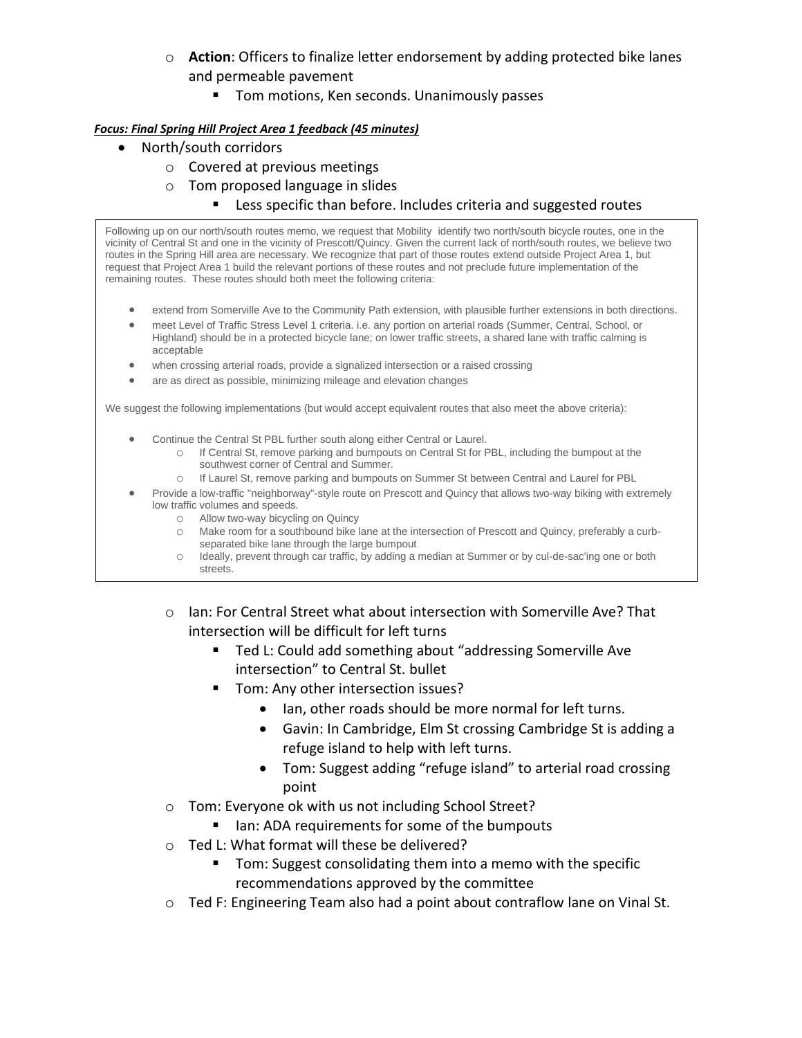- o **Action**: Officers to finalize letter endorsement by adding protected bike lanes and permeable pavement
	- Tom motions, Ken seconds. Unanimously passes

#### *Focus: Final Spring Hill Project Area 1 feedback (45 minutes)*

- North/south corridors
	- o Covered at previous meetings
	- o Tom proposed language in slides
		- Less specific than before. Includes criteria and suggested routes

Following up on our north/south routes memo, we request that Mobility identify two north/south bicycle routes, one in the vicinity of Central St and one in the vicinity of Prescott/Quincy. Given the current lack of north/south routes, we believe two routes in the Spring Hill area are necessary. We recognize that part of those routes extend outside Project Area 1, but request that Project Area 1 build the relevant portions of these routes and not preclude future implementation of the remaining routes. These routes should both meet the following criteria:

- extend from Somerville Ave to the Community Path extension, with plausible further extensions in both directions.
- meet Level of Traffic Stress Level 1 criteria. i.e. any portion on arterial roads (Summer, Central, School, or Highland) should be in a protected bicycle lane; on lower traffic streets, a shared lane with traffic calming is acceptable
- when crossing arterial roads, provide a signalized intersection or a raised crossing
- are as direct as possible, minimizing mileage and elevation changes

We suggest the following implementations (but would accept equivalent routes that also meet the above criteria):

- Continue the Central St PBL further south along either Central or Laurel.
	- o If Central St, remove parking and bumpouts on Central St for PBL, including the bumpout at the southwest corner of Central and Summer.
	- o If Laurel St, remove parking and bumpouts on Summer St between Central and Laurel for PBL
- Provide a low-traffic "neighborway"-style route on Prescott and Quincy that allows two-way biking with extremely low traffic volumes and speeds.
	- o Allow two-way bicycling on Quincy
	- o Make room for a southbound bike lane at the intersection of Prescott and Quincy, preferably a curbseparated bike lane through the large bumpout
	- o Ideally, prevent through car traffic, by adding a median at Summer or by cul-de-sac'ing one or both streets.
	- $\circ$  Ian: For Central Street what about intersection with Somerville Ave? That intersection will be difficult for left turns
		- Ted L: Could add something about "addressing Somerville Ave intersection" to Central St. bullet
			- Tom: Any other intersection issues?
				- Ian, other roads should be more normal for left turns.
				- Gavin: In Cambridge, Elm St crossing Cambridge St is adding a refuge island to help with left turns.
				- Tom: Suggest adding "refuge island" to arterial road crossing point
	- o Tom: Everyone ok with us not including School Street?
		- Ian: ADA requirements for some of the bumpouts
	- o Ted L: What format will these be delivered?
		- Tom: Suggest consolidating them into a memo with the specific recommendations approved by the committee
	- $\circ$  Ted F: Engineering Team also had a point about contraflow lane on Vinal St.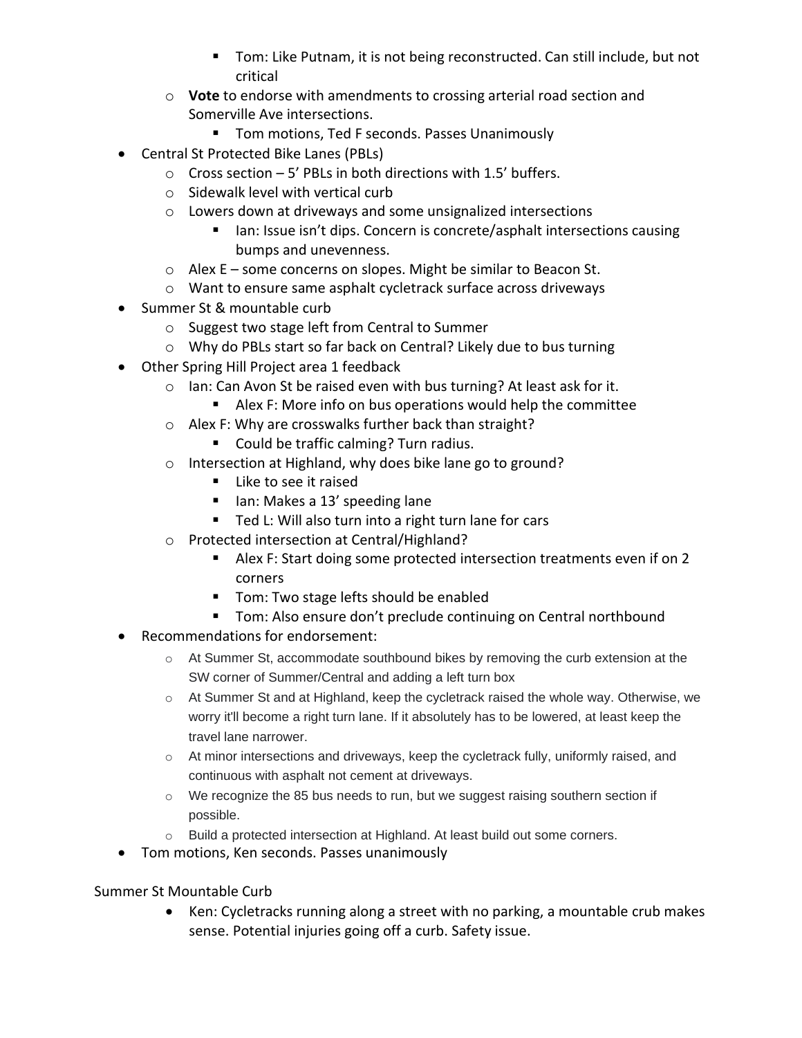- Tom: Like Putnam, it is not being reconstructed. Can still include, but not critical
- o **Vote** to endorse with amendments to crossing arterial road section and Somerville Ave intersections.
	- Tom motions, Ted F seconds. Passes Unanimously
- Central St Protected Bike Lanes (PBLs)
	- $\circ$  Cross section 5' PBLs in both directions with 1.5' buffers.
	- o Sidewalk level with vertical curb
	- o Lowers down at driveways and some unsignalized intersections
		- Ian: Issue isn't dips. Concern is concrete/asphalt intersections causing bumps and unevenness.
	- $\circ$  Alex E some concerns on slopes. Might be similar to Beacon St.
	- o Want to ensure same asphalt cycletrack surface across driveways
- Summer St & mountable curb
	- o Suggest two stage left from Central to Summer
	- o Why do PBLs start so far back on Central? Likely due to bus turning
- Other Spring Hill Project area 1 feedback
	- o Ian: Can Avon St be raised even with bus turning? At least ask for it.
		- Alex F: More info on bus operations would help the committee
	- o Alex F: Why are crosswalks further back than straight?
		- Could be traffic calming? Turn radius.
	- o Intersection at Highland, why does bike lane go to ground?
		- Like to see it raised
		- Ian: Makes a 13' speeding lane
		- Ted L: Will also turn into a right turn lane for cars
	- o Protected intersection at Central/Highland?
		- Alex F: Start doing some protected intersection treatments even if on 2 corners
		- Tom: Two stage lefts should be enabled
		- Tom: Also ensure don't preclude continuing on Central northbound
- Recommendations for endorsement:
	- $\circ$  At Summer St, accommodate southbound bikes by removing the curb extension at the SW corner of Summer/Central and adding a left turn box
	- o At Summer St and at Highland, keep the cycletrack raised the whole way. Otherwise, we worry it'll become a right turn lane. If it absolutely has to be lowered, at least keep the travel lane narrower.
	- o At minor intersections and driveways, keep the cycletrack fully, uniformly raised, and continuous with asphalt not cement at driveways.
	- $\circ$  We recognize the 85 bus needs to run, but we suggest raising southern section if possible.
	- o Build a protected intersection at Highland. At least build out some corners.
- Tom motions, Ken seconds. Passes unanimously

## Summer St Mountable Curb

• Ken: Cycletracks running along a street with no parking, a mountable crub makes sense. Potential injuries going off a curb. Safety issue.